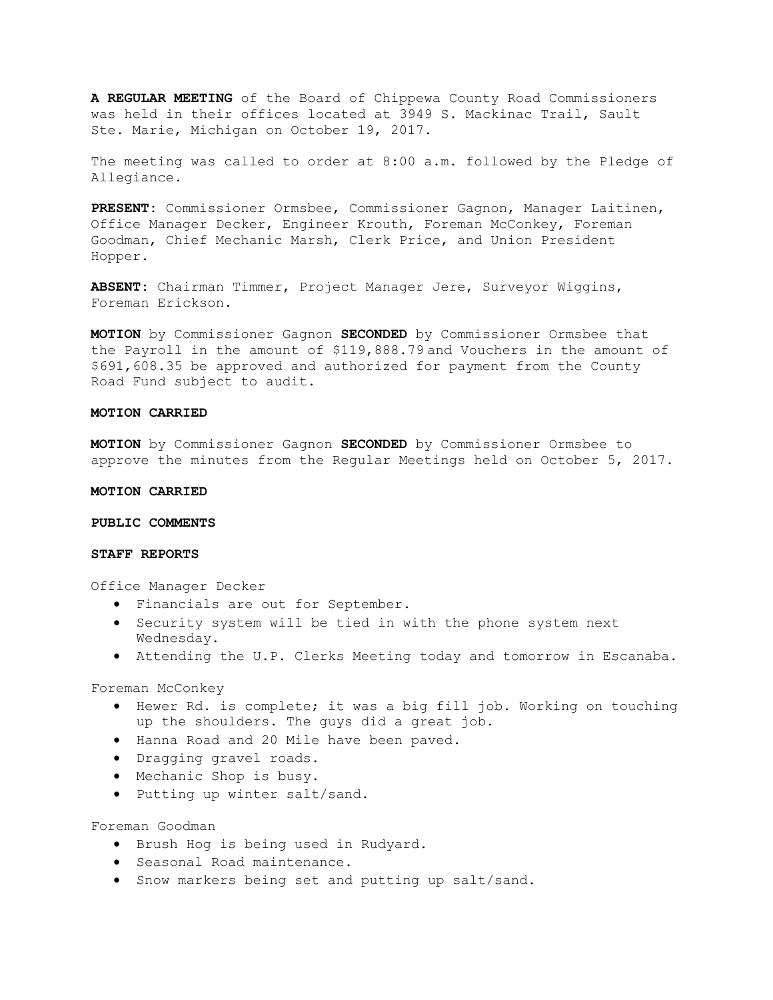**A REGULAR MEETING** of the Board of Chippewa County Road Commissioners was held in their offices located at 3949 S. Mackinac Trail, Sault Ste. Marie, Michigan on October 19, 2017.

The meeting was called to order at 8:00 a.m. followed by the Pledge of Allegiance.

**PRESENT:** Commissioner Ormsbee, Commissioner Gagnon, Manager Laitinen, Office Manager Decker, Engineer Krouth, Foreman McConkey, Foreman Goodman, Chief Mechanic Marsh, Clerk Price, and Union President Hopper.

**ABSENT:** Chairman Timmer, Project Manager Jere, Surveyor Wiggins, Foreman Erickson.

**MOTION** by Commissioner Gagnon **SECONDED** by Commissioner Ormsbee that the Payroll in the amount of \$119,888.79 and Vouchers in the amount of \$691,608.35 be approved and authorized for payment from the County Road Fund subject to audit.

# **MOTION CARRIED**

**MOTION** by Commissioner Gagnon **SECONDED** by Commissioner Ormsbee to approve the minutes from the Regular Meetings held on October 5, 2017.

#### **MOTION CARRIED**

#### **PUBLIC COMMENTS**

### **STAFF REPORTS**

Office Manager Decker

- Financials are out for September.
- Security system will be tied in with the phone system next Wednesday.
- Attending the U.P. Clerks Meeting today and tomorrow in Escanaba.

Foreman McConkey

- Hewer Rd. is complete; it was a big fill job. Working on touching up the shoulders. The guys did a great job.
- Hanna Road and 20 Mile have been paved.
- Dragging gravel roads.
- Mechanic Shop is busy.
- Putting up winter salt/sand.

Foreman Goodman

- Brush Hog is being used in Rudyard.
- Seasonal Road maintenance.
- Snow markers being set and putting up salt/sand.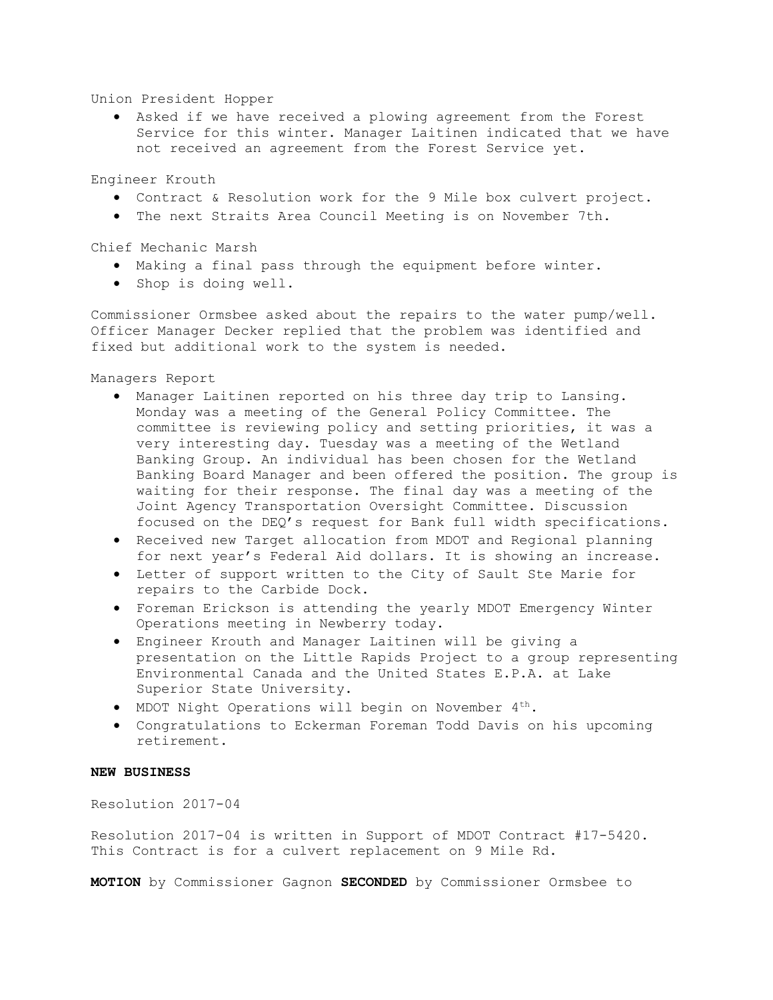Union President Hopper

• Asked if we have received a plowing agreement from the Forest Service for this winter. Manager Laitinen indicated that we have not received an agreement from the Forest Service yet.

Engineer Krouth

- Contract & Resolution work for the 9 Mile box culvert project.
- The next Straits Area Council Meeting is on November 7th.

Chief Mechanic Marsh

- Making a final pass through the equipment before winter.
- Shop is doing well.

Commissioner Ormsbee asked about the repairs to the water pump/well. Officer Manager Decker replied that the problem was identified and fixed but additional work to the system is needed.

Managers Report

- Manager Laitinen reported on his three day trip to Lansing. Monday was a meeting of the General Policy Committee. The committee is reviewing policy and setting priorities, it was a very interesting day. Tuesday was a meeting of the Wetland Banking Group. An individual has been chosen for the Wetland Banking Board Manager and been offered the position. The group is waiting for their response. The final day was a meeting of the Joint Agency Transportation Oversight Committee. Discussion focused on the DEQ's request for Bank full width specifications.
- Received new Target allocation from MDOT and Regional planning for next year's Federal Aid dollars. It is showing an increase.
- Letter of support written to the City of Sault Ste Marie for repairs to the Carbide Dock.
- Foreman Erickson is attending the yearly MDOT Emergency Winter Operations meeting in Newberry today.
- Engineer Krouth and Manager Laitinen will be giving a presentation on the Little Rapids Project to a group representing Environmental Canada and the United States E.P.A. at Lake Superior State University.
- MDOT Night Operations will begin on November 4th.
- Congratulations to Eckerman Foreman Todd Davis on his upcoming retirement.

### **NEW BUSINESS**

Resolution 2017-04

Resolution 2017-04 is written in Support of MDOT Contract #17-5420. This Contract is for a culvert replacement on 9 Mile Rd.

**MOTION** by Commissioner Gagnon **SECONDED** by Commissioner Ormsbee to